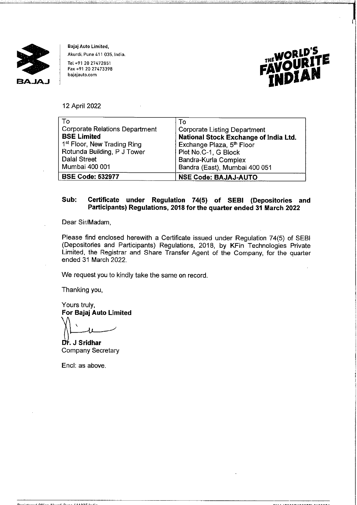

**Bajaj Auto Limited, Akurdi, Pune 411 035. India.** 

Tel +91 20 27472851 **Fax +91 20 27473398 bajajauto.com** 



**I 'n begin het de verste van de voormalige van de voormalige van de voormalige van de voormalige van de voorma<br>In de voormalige van de voormalige van de voormalige van de voormalige van de voormalige van de voormalige van** 

12 April 2022

| To                                      | To                                           |
|-----------------------------------------|----------------------------------------------|
| <b>Corporate Relations Department</b>   | Corporate Listing Department                 |
| <b>BSE Limited</b>                      | <b>National Stock Exchange of India Ltd.</b> |
| 1 <sup>st</sup> Floor, New Trading Ring | Exchange Plaza, 5 <sup>th</sup> Floor        |
| Rotunda Building, P J Tower             | Plot No.C-1, G Block                         |
| <b>Dalal Street</b>                     | Bandra-Kurla Complex                         |
| Mumbai 400 001                          | Bandra (East), Mumbai 400 051                |
| <b>BSE Code: 532977</b>                 | <b>NSE Code: BAJAJ-AUTO</b>                  |

## **Sub: Certificate under Regulation 74(5) of SEBI (Depositories and Participants) Regulations, 2018 for the quarter ended 31 March 2022**

Dear Sir/Madam,

Please find enclosed herewith a Certificate issued under Regulation 74(5) of SEBI (Depositories and Participants) Regulations, 2018, by KFin Technologies Private Limited, the Registrar and Share Transfer Agent of the Company, for the quarter ended 31 March 2022.

We request you to kindly take the same on record.

Thanking you,

Yours truly, **For Bajaj Auto Limited**   $\overline{\phantom{a}}$ 

. **J Sridhar**  Company Secretary

Encl: as above.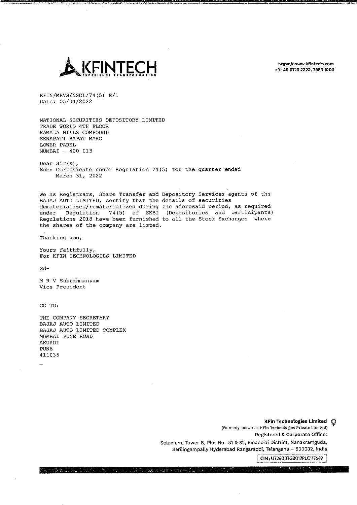

https://www.kfintech.com +91 40 6716 2222, 79611000

KFIN/MRVS/NSDL/74(5) E/1 Date: 05/04/2022

NATIONAL SECURITIES DEPOSITORY LIMITED TRADE WORLD 4TH FLOOR KAMALA MILLS COMPOUND SENAPATI BAPAT MARG LOWER PAREL MUMBAI - 400 013

Dear Sir{s), Sub: Certificate under Regulation 74(5) for the quarter ended March 31, 2022

We as Registrars, Share Transfer and Depository Services agents of the BAJAJ AUTO LIMITED, certify that the details of securities dematerialized/rematerialized during the aforesaid period, as required<br>under Requlation 74(5) of SEBI (Depositories and participants) Regulation 74(5) of SEBI (Depositories and participants) Regulations 2018 have been furnished to all the Stock Exchanges where the shares of the company are listed.

Thanking you,

Yours faithfully, For KFIN TECHNOLOGIES LIMITED

Sd-

MR V Subrahmanyam Vice President

CC TO:

THE COMPANY SECRETARY BAJAJ AUTO LIMITED BAJAJ AUTO LIMITED COMPLEX MUMBAI PUNE ROAD AKURDI PONE 411035

KFin Technologies Limited Q (Formerly known as KFin Technologies Private Limited) Registered & Corporate Office: Selenium, Tower B, Plot No- 31 & 32, Financial District, Nanakramguda, Serilingampally Hyderabad Rangareddi, Telangana - 500032, India

**CIN:** U72400TG2017PLC117649